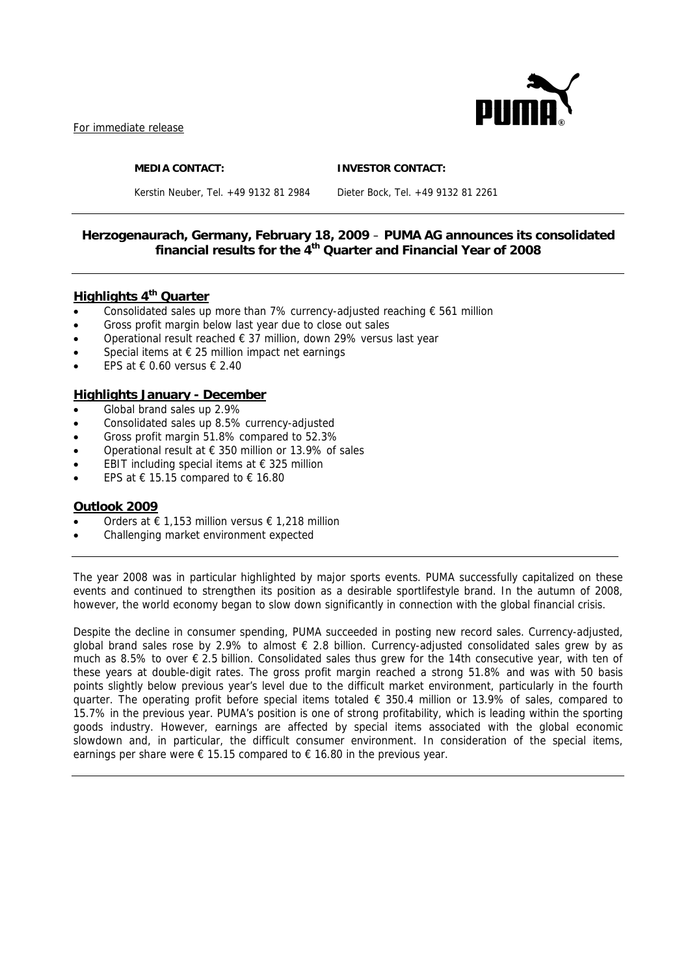

For immediate release

**MEDIA CONTACT: INVESTOR CONTACT:** 

Kerstin Neuber, Tel. +49 9132 81 2984 Dieter Bock, Tel. +49 9132 81 2261

## **Herzogenaurach, Germany, February 18, 2009** – **PUMA AG announces its consolidated financial results for the 4th Quarter and Financial Year of 2008**

## **Highlights 4<sup>th</sup> Quarter**

- Consolidated sales up more than 7% currency-adjusted reaching € 561 million
- Gross profit margin below last year due to close out sales
- Operational result reached € 37 million, down 29% versus last year
- Special items at  $\epsilon$  25 million impact net earnings
- FPS at  $\epsilon$  0.60 versus  $\epsilon$  2.40

## **Highlights January - December**

- Global brand sales up 2.9%
- Consolidated sales up 8.5% currency-adjusted
- Gross profit margin 51.8% compared to 52.3%
- Operational result at  $\epsilon$  350 million or 13.9% of sales
- EBIT including special items at  $\epsilon$  325 million
- EPS at € 15.15 compared to € 16.80

### **Outlook 2009**

- Orders at € 1,153 million versus € 1,218 million
- Challenging market environment expected

The year 2008 was in particular highlighted by major sports events. PUMA successfully capitalized on these events and continued to strengthen its position as a desirable sportlifestyle brand. In the autumn of 2008, however, the world economy began to slow down significantly in connection with the global financial crisis.

Despite the decline in consumer spending, PUMA succeeded in posting new record sales. Currency-adjusted, global brand sales rose by 2.9% to almost € 2.8 billion. Currency-adjusted consolidated sales grew by as much as 8.5% to over € 2.5 billion. Consolidated sales thus grew for the 14th consecutive year, with ten of these years at double-digit rates. The gross profit margin reached a strong 51.8% and was with 50 basis points slightly below previous year's level due to the difficult market environment, particularly in the fourth quarter. The operating profit before special items totaled  $\epsilon$  350.4 million or 13.9% of sales, compared to 15.7% in the previous year. PUMA's position is one of strong profitability, which is leading within the sporting goods industry. However, earnings are affected by special items associated with the global economic slowdown and, in particular, the difficult consumer environment. In consideration of the special items, earnings per share were  $\epsilon$  15.15 compared to  $\epsilon$  16.80 in the previous year.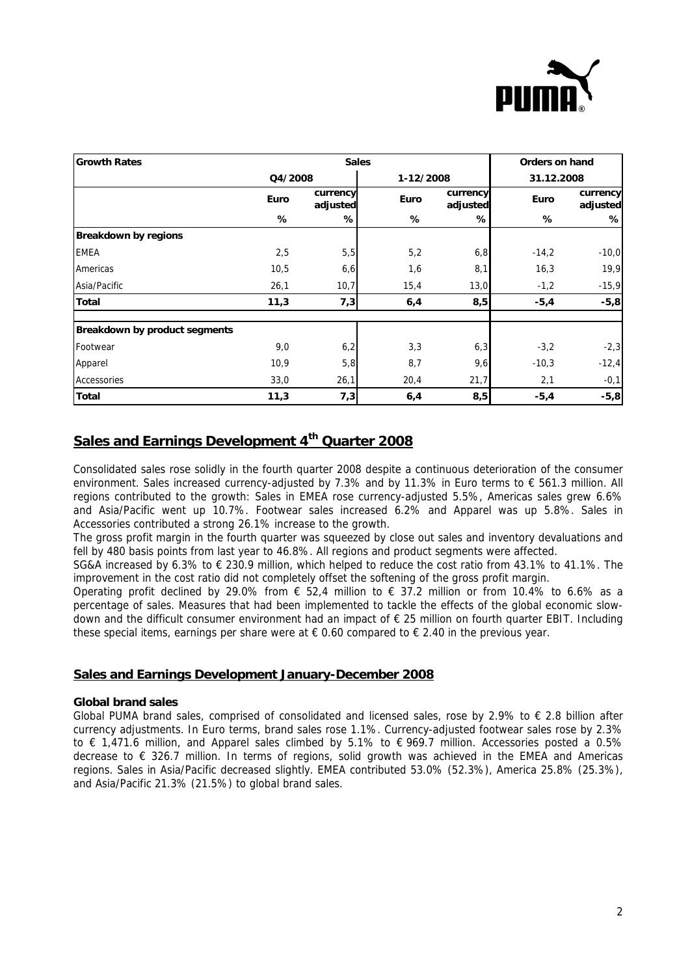

| <b>Growth Rates</b>                  | <b>Sales</b> |                      |             |                      |             | <b>Orders on hand</b> |  |  |
|--------------------------------------|--------------|----------------------|-------------|----------------------|-------------|-----------------------|--|--|
|                                      | Q4/2008      |                      |             | 1-12/2008            | 31.12.2008  |                       |  |  |
|                                      | Euro         | currency<br>adjusted | <b>Euro</b> | currency<br>adjusted | <b>Euro</b> | currency<br>adjusted  |  |  |
|                                      | %            | %                    | %           | %                    | %           | ℅                     |  |  |
| <b>Breakdown by regions</b>          |              |                      |             |                      |             |                       |  |  |
| <b>EMEA</b>                          | 2,5          | 5,5                  | 5,2         | 6,8                  | $-14,2$     | $-10,0$               |  |  |
| Americas                             | 10,5         | 6, 6                 | 1,6         | 8,1                  | 16,3        | 19,9                  |  |  |
| Asia/Pacific                         | 26,1         | 10,7                 | 15,4        | 13,0                 | $-1,2$      | $-15,9$               |  |  |
| <b>Total</b>                         | 11,3         | 7,3                  | 6,4         | 8,5                  | $-5,4$      | $-5,8$                |  |  |
| <b>Breakdown by product segments</b> |              |                      |             |                      |             |                       |  |  |
| Footwear                             | 9,0          | 6,2                  | 3,3         | 6,3                  | $-3,2$      | $-2,3$                |  |  |
| Apparel                              | 10,9         | 5,8                  | 8,7         | 9,6                  | $-10,3$     | $-12,4$               |  |  |
| Accessories                          | 33,0         | 26,1                 | 20,4        | 21,7                 | 2,1         | $-0,1$                |  |  |
| Total                                | 11,3         | 7,3                  | 6,4         | 8,5                  | $-5,4$      | $-5,8$                |  |  |

# **Sales and Earnings Development 4th Quarter 2008**

Consolidated sales rose solidly in the fourth quarter 2008 despite a continuous deterioration of the consumer environment. Sales increased currency-adjusted by 7.3% and by 11.3% in Euro terms to € 561.3 million. All regions contributed to the growth: Sales in EMEA rose currency-adjusted 5.5%, Americas sales grew 6.6% and Asia/Pacific went up 10.7%. Footwear sales increased 6.2% and Apparel was up 5.8%. Sales in Accessories contributed a strong 26.1% increase to the growth.

The gross profit margin in the fourth quarter was squeezed by close out sales and inventory devaluations and fell by 480 basis points from last year to 46.8%. All regions and product segments were affected.

SG&A increased by 6.3% to € 230.9 million, which helped to reduce the cost ratio from 43.1% to 41.1%. The improvement in the cost ratio did not completely offset the softening of the gross profit margin.

Operating profit declined by 29.0% from € 52.4 million to  $\epsilon$  37.2 million or from 10.4% to 6.6% as a percentage of sales. Measures that had been implemented to tackle the effects of the global economic slowdown and the difficult consumer environment had an impact of € 25 million on fourth quarter EBIT. Including these special items, earnings per share were at  $\epsilon$  0.60 compared to  $\epsilon$  2.40 in the previous year.

## **Sales and Earnings Development January-December 2008**

### **Global brand sales**

Global PUMA brand sales, comprised of consolidated and licensed sales, rose by 2.9% to  $\epsilon$  2.8 billion after currency adjustments. In Euro terms, brand sales rose 1.1%. Currency-adjusted footwear sales rose by 2.3% to € 1,471.6 million, and Apparel sales climbed by 5.1% to € 969.7 million. Accessories posted a 0.5% decrease to € 326.7 million. In terms of regions, solid growth was achieved in the EMEA and Americas regions. Sales in Asia/Pacific decreased slightly. EMEA contributed 53.0% (52.3%), America 25.8% (25.3%), and Asia/Pacific 21.3% (21.5%) to global brand sales.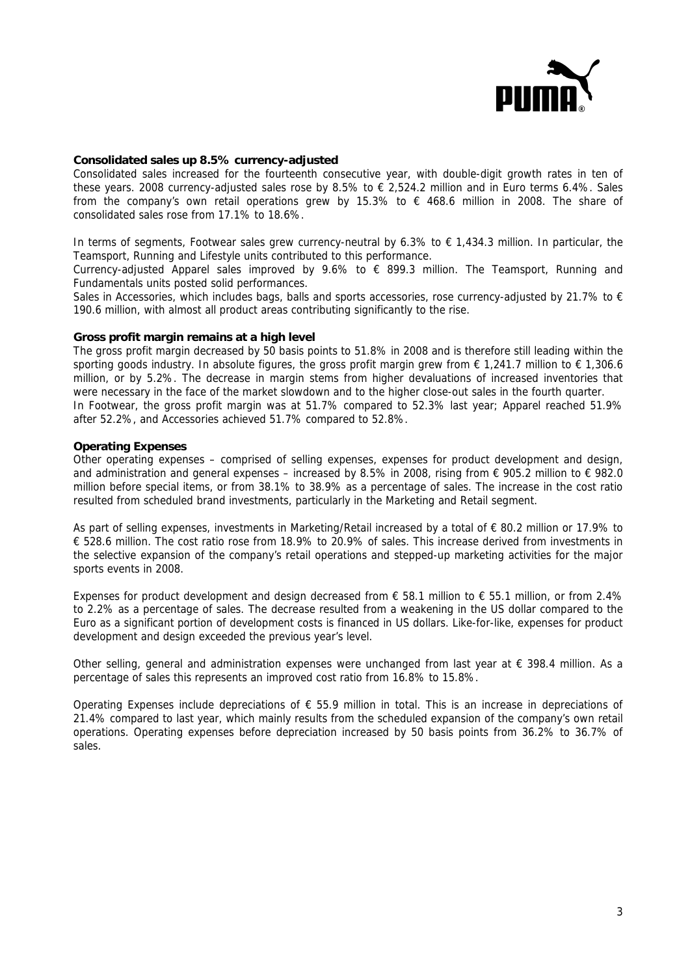

#### **Consolidated sales up 8.5% currency-adjusted**

Consolidated sales increased for the fourteenth consecutive year, with double-digit growth rates in ten of these years. 2008 currency-adjusted sales rose by 8.5% to  $\epsilon$  2,524.2 million and in Euro terms 6.4%. Sales from the company's own retail operations grew by 15.3% to  $\epsilon$  468.6 million in 2008. The share of consolidated sales rose from 17.1% to 18.6%.

In terms of segments, Footwear sales grew currency-neutral by 6.3% to € 1,434.3 million. In particular, the Teamsport, Running and Lifestyle units contributed to this performance.

Currency-adjusted Apparel sales improved by 9.6% to  $\epsilon$  899.3 million. The Teamsport, Running and Fundamentals units posted solid performances.

Sales in Accessories, which includes bags, balls and sports accessories, rose currency-adjusted by 21.7% to  $\epsilon$ 190.6 million, with almost all product areas contributing significantly to the rise.

#### **Gross profit margin remains at a high level**

The gross profit margin decreased by 50 basis points to 51.8% in 2008 and is therefore still leading within the sporting goods industry. In absolute figures, the gross profit margin grew from  $\epsilon$  1,241.7 million to  $\epsilon$  1,306.6 million, or by 5.2%. The decrease in margin stems from higher devaluations of increased inventories that were necessary in the face of the market slowdown and to the higher close-out sales in the fourth quarter. In Footwear, the gross profit margin was at 51.7% compared to 52.3% last year; Apparel reached 51.9% after 52.2%, and Accessories achieved 51.7% compared to 52.8%.

#### **Operating Expenses**

Other operating expenses – comprised of selling expenses, expenses for product development and design, and administration and general expenses – increased by 8.5% in 2008, rising from € 905.2 million to € 982.0 million before special items, or from 38.1% to 38.9% as a percentage of sales. The increase in the cost ratio resulted from scheduled brand investments, particularly in the Marketing and Retail segment.

As part of selling expenses, investments in Marketing/Retail increased by a total of € 80.2 million or 17.9% to € 528.6 million. The cost ratio rose from 18.9% to 20.9% of sales. This increase derived from investments in the selective expansion of the company's retail operations and stepped-up marketing activities for the major sports events in 2008.

Expenses for product development and design decreased from  $\epsilon$  58.1 million to  $\epsilon$  55.1 million, or from 2.4% to 2.2% as a percentage of sales. The decrease resulted from a weakening in the US dollar compared to the Euro as a significant portion of development costs is financed in US dollars. Like-for-like, expenses for product development and design exceeded the previous year's level.

Other selling, general and administration expenses were unchanged from last year at  $\epsilon$  398.4 million. As a percentage of sales this represents an improved cost ratio from 16.8% to 15.8%.

Operating Expenses include depreciations of  $\epsilon$  55.9 million in total. This is an increase in depreciations of 21.4% compared to last year, which mainly results from the scheduled expansion of the company's own retail operations. Operating expenses before depreciation increased by 50 basis points from 36.2% to 36.7% of sales.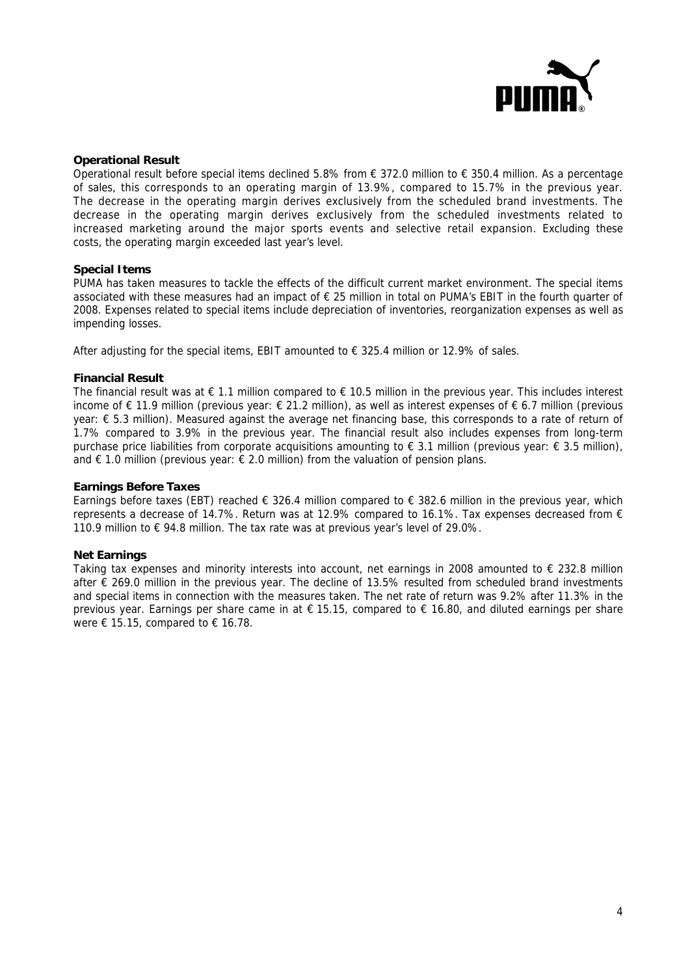

#### **Operational Result**

Operational result before special items declined 5.8% from € 372.0 million to € 350.4 million. As a percentage of sales, this corresponds to an operating margin of 13.9%, compared to 15.7% in the previous year. The decrease in the operating margin derives exclusively from the scheduled brand investments. The decrease in the operating margin derives exclusively from the scheduled investments related to increased marketing around the major sports events and selective retail expansion. Excluding these costs, the operating margin exceeded last year's level.

#### **Special Items**

PUMA has taken measures to tackle the effects of the difficult current market environment. The special items associated with these measures had an impact of € 25 million in total on PUMA's EBIT in the fourth quarter of 2008. Expenses related to special items include depreciation of inventories, reorganization expenses as well as impending losses.

After adjusting for the special items, EBIT amounted to  $\epsilon$  325.4 million or 12.9% of sales.

#### **Financial Result**

The financial result was at  $\epsilon$  1.1 million compared to  $\epsilon$  10.5 million in the previous year. This includes interest income of € 11.9 million (previous year: € 21.2 million), as well as interest expenses of € 6.7 million (previous year: € 5.3 million). Measured against the average net financing base, this corresponds to a rate of return of 1.7% compared to 3.9% in the previous year. The financial result also includes expenses from long-term purchase price liabilities from corporate acquisitions amounting to € 3.1 million (previous year: € 3.5 million), and € 1.0 million (previous year:  $∈$  2.0 million) from the valuation of pension plans.

#### **Earnings Before Taxes**

Earnings before taxes (EBT) reached € 326.4 million compared to € 382.6 million in the previous year, which represents a decrease of 14.7%. Return was at 12.9% compared to 16.1%. Tax expenses decreased from  $\epsilon$ 110.9 million to € 94.8 million. The tax rate was at previous year's level of 29.0%.

#### **Net Earnings**

Taking tax expenses and minority interests into account, net earnings in 2008 amounted to  $\epsilon$  232.8 million after € 269.0 million in the previous year. The decline of 13.5% resulted from scheduled brand investments and special items in connection with the measures taken. The net rate of return was 9.2% after 11.3% in the previous year. Earnings per share came in at  $\epsilon$  15.15, compared to  $\epsilon$  16.80, and diluted earnings per share were  $\epsilon$  15.15, compared to  $\epsilon$  16.78.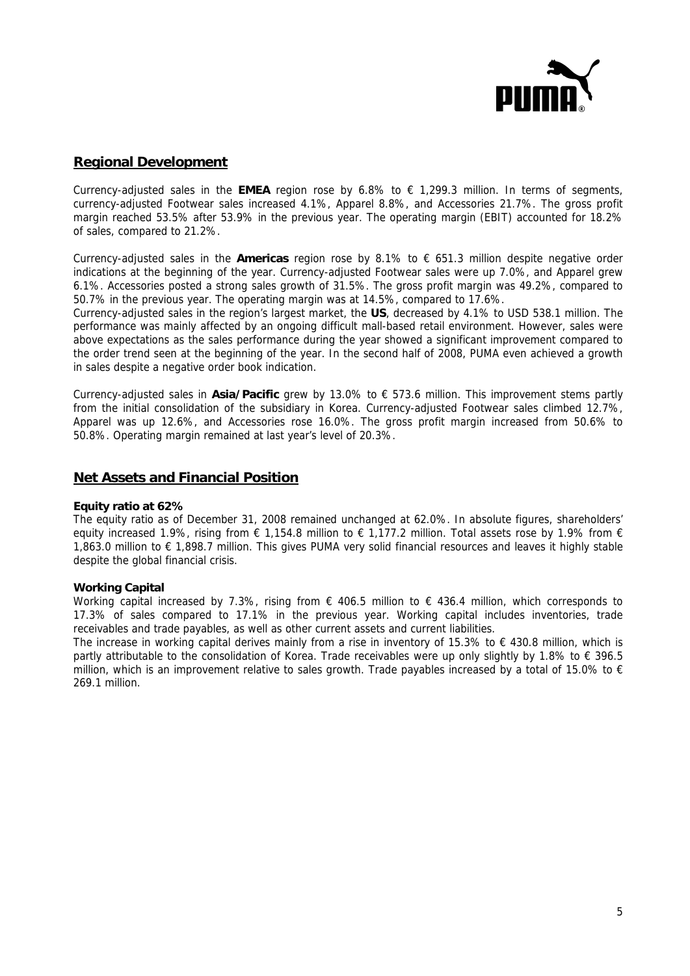

## **Regional Development**

Currency-adjusted sales in the **EMEA** region rose by 6.8% to  $\epsilon$  1,299.3 million. In terms of segments, currency-adjusted Footwear sales increased 4.1%, Apparel 8.8%, and Accessories 21.7%. The gross profit margin reached 53.5% after 53.9% in the previous year. The operating margin (EBIT) accounted for 18.2% of sales, compared to 21.2%.

Currency-adjusted sales in the **Americas** region rose by 8.1% to € 651.3 million despite negative order indications at the beginning of the year. Currency-adjusted Footwear sales were up 7.0%, and Apparel grew 6.1%. Accessories posted a strong sales growth of 31.5%. The gross profit margin was 49.2%, compared to 50.7% in the previous year. The operating margin was at 14.5%, compared to 17.6%.

Currency-adjusted sales in the region's largest market, the **US**, decreased by 4.1% to USD 538.1 million. The performance was mainly affected by an ongoing difficult mall-based retail environment. However, sales were above expectations as the sales performance during the year showed a significant improvement compared to the order trend seen at the beginning of the year. In the second half of 2008, PUMA even achieved a growth in sales despite a negative order book indication.

Currency-adjusted sales in **Asia/Pacific** grew by 13.0% to € 573.6 million. This improvement stems partly from the initial consolidation of the subsidiary in Korea. Currency-adjusted Footwear sales climbed 12.7%, Apparel was up 12.6%, and Accessories rose 16.0%. The gross profit margin increased from 50.6% to 50.8%. Operating margin remained at last year's level of 20.3%.

## **Net Assets and Financial Position**

### **Equity ratio at 62%**

The equity ratio as of December 31, 2008 remained unchanged at 62.0%. In absolute figures, shareholders' equity increased 1.9%, rising from  $\epsilon$  1.154.8 million to  $\epsilon$  1.177.2 million. Total assets rose by 1.9% from  $\epsilon$ 1,863.0 million to € 1,898.7 million. This gives PUMA very solid financial resources and leaves it highly stable despite the global financial crisis.

### **Working Capital**

Working capital increased by 7.3%, rising from  $\epsilon$  406.5 million to  $\epsilon$  436.4 million, which corresponds to 17.3% of sales compared to 17.1% in the previous year. Working capital includes inventories, trade receivables and trade payables, as well as other current assets and current liabilities.

The increase in working capital derives mainly from a rise in inventory of 15.3% to  $\epsilon$  430.8 million, which is partly attributable to the consolidation of Korea. Trade receivables were up only slightly by 1.8% to € 396.5 million, which is an improvement relative to sales growth. Trade payables increased by a total of 15.0% to  $\epsilon$ 269.1 million.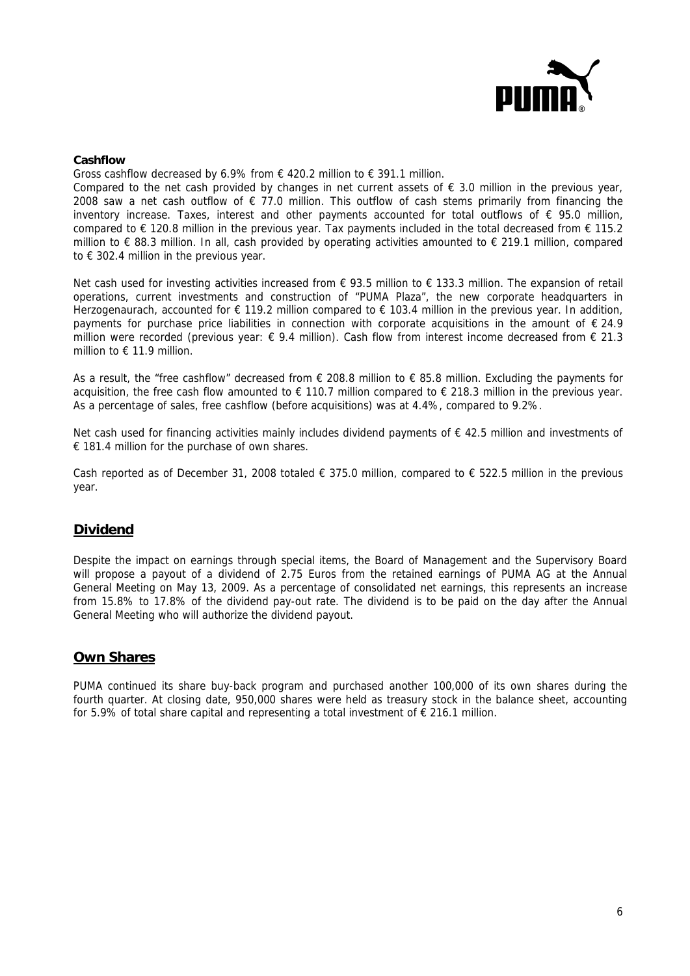

#### **Cashflow**

Gross cashflow decreased by 6.9% from  $\epsilon$  420.2 million to  $\epsilon$  391.1 million.

Compared to the net cash provided by changes in net current assets of  $\epsilon$  3.0 million in the previous year, 2008 saw a net cash outflow of € 77.0 million. This outflow of cash stems primarily from financing the inventory increase. Taxes, interest and other payments accounted for total outflows of  $\epsilon$  95.0 million, compared to  $\epsilon$  120.8 million in the previous year. Tax payments included in the total decreased from  $\epsilon$  115.2 million to € 88.3 million. In all, cash provided by operating activities amounted to € 219.1 million, compared to  $\epsilon$  302.4 million in the previous year.

Net cash used for investing activities increased from € 93.5 million to € 133.3 million. The expansion of retail operations, current investments and construction of "PUMA Plaza", the new corporate headquarters in Herzogenaurach, accounted for € 119.2 million compared to € 103.4 million in the previous year. In addition, payments for purchase price liabilities in connection with corporate acquisitions in the amount of € 24.9 million were recorded (previous year: € 9.4 million). Cash flow from interest income decreased from € 21.3 million to  $\epsilon$  11.9 million.

As a result, the "free cashflow" decreased from € 208.8 million to € 85.8 million. Excluding the payments for acquisition, the free cash flow amounted to  $\epsilon$  110.7 million compared to  $\epsilon$  218.3 million in the previous year. As a percentage of sales, free cashflow (before acquisitions) was at 4.4%, compared to 9.2%.

Net cash used for financing activities mainly includes dividend payments of € 42.5 million and investments of € 181.4 million for the purchase of own shares.

Cash reported as of December 31, 2008 totaled  $\epsilon$  375.0 million, compared to  $\epsilon$  522.5 million in the previous year.

### **Dividend**

Despite the impact on earnings through special items, the Board of Management and the Supervisory Board will propose a payout of a dividend of 2.75 Euros from the retained earnings of PUMA AG at the Annual General Meeting on May 13, 2009. As a percentage of consolidated net earnings, this represents an increase from 15.8% to 17.8% of the dividend pay-out rate. The dividend is to be paid on the day after the Annual General Meeting who will authorize the dividend payout.

### **Own Shares**

PUMA continued its share buy-back program and purchased another 100,000 of its own shares during the fourth quarter. At closing date, 950,000 shares were held as treasury stock in the balance sheet, accounting for 5.9% of total share capital and representing a total investment of  $\epsilon$  216.1 million.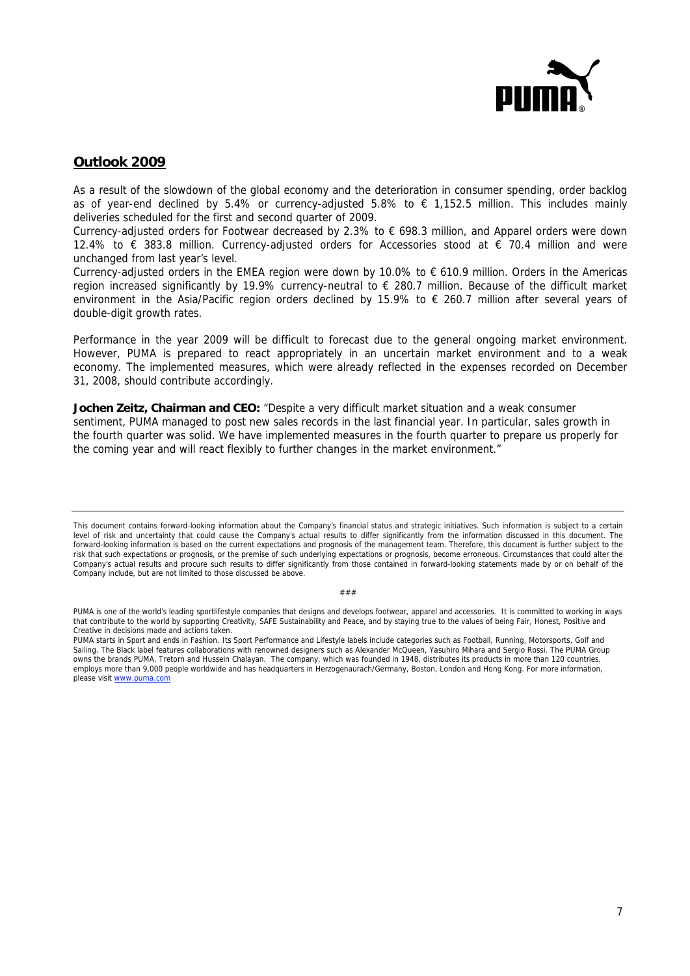

## **Outlook 2009**

As a result of the slowdown of the global economy and the deterioration in consumer spending, order backlog as of year-end declined by 5.4% or currency-adjusted 5.8% to € 1,152.5 million. This includes mainly deliveries scheduled for the first and second quarter of 2009.

Currency-adjusted orders for Footwear decreased by 2.3% to € 698.3 million, and Apparel orders were down 12.4% to € 383.8 million. Currency-adjusted orders for Accessories stood at € 70.4 million and were unchanged from last year's level.

Currency-adjusted orders in the EMEA region were down by 10.0% to € 610.9 million. Orders in the Americas region increased significantly by 19.9% currency-neutral to € 280.7 million. Because of the difficult market environment in the Asia/Pacific region orders declined by 15.9% to € 260.7 million after several years of double-digit growth rates.

Performance in the year 2009 will be difficult to forecast due to the general ongoing market environment. However, PUMA is prepared to react appropriately in an uncertain market environment and to a weak economy. The implemented measures, which were already reflected in the expenses recorded on December 31, 2008, should contribute accordingly.

**Jochen Zeitz, Chairman and CEO:** "Despite a very difficult market situation and a weak consumer sentiment, PUMA managed to post new sales records in the last financial year. In particular, sales growth in the fourth quarter was solid. We have implemented measures in the fourth quarter to prepare us properly for the coming year and will react flexibly to further changes in the market environment."

###

PUMA is one of the world's leading sportlifestyle companies that designs and develops footwear, apparel and accessories. It is committed to working in ways that contribute to the world by supporting Creativity, SAFE Sustainability and Peace, and by staying true to the values of being Fair, Honest, Positive and Creative in decisions made and actions taken.

This document contains forward-looking information about the Company's financial status and strategic initiatives. Such information is subject to a certain level of risk and uncertainty that could cause the Company's actual results to differ significantly from the information discussed in this document. The forward-looking information is based on the current expectations and prognosis of the management team. Therefore, this document is further subject to the risk that such expectations or prognosis, or the premise of such underlying expectations or prognosis, become erroneous. Circumstances that could alter the Company's actual results and procure such results to differ significantly from those contained in forward-looking statements made by or on behalf of the Company include, but are not limited to those discussed be above.

PUMA starts in Sport and ends in Fashion. Its Sport Performance and Lifestyle labels include categories such as Football, Running, Motorsports, Golf and Sailing. The Black label features collaborations with renowned designers such as Alexander McQueen, Yasuhiro Mihara and Sergio Rossi. The PUMA Group owns the brands PUMA, Tretorn and Hussein Chalayan. The company, which was founded in 1948, distributes its products in more than 120 countries, employs more than 9,000 people worldwide and has headquarters in Herzogenaurach/Germany, Boston, London and Hong Kong. For more information, please visit www.puma.com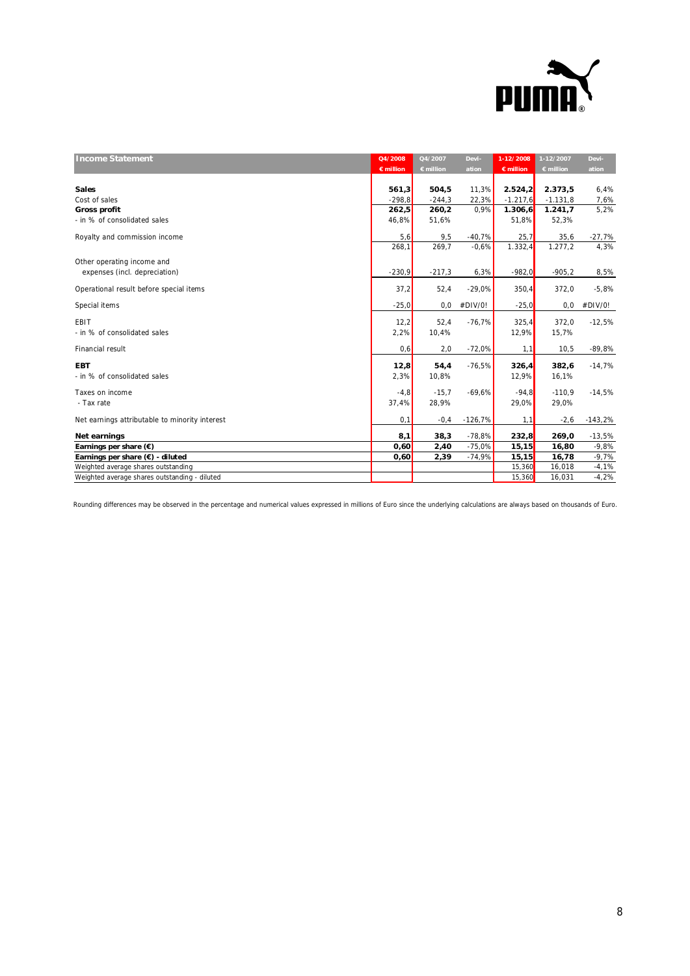

| <b>Income Statement</b>                        | Q4/2008            | Q4/2007            | Devi-     | $1 - 12/2008$ | 1-12/2007          | Devi-     |
|------------------------------------------------|--------------------|--------------------|-----------|---------------|--------------------|-----------|
|                                                | $\epsilon$ million | $\epsilon$ million | ation     | € million     | $\epsilon$ million | ation     |
|                                                |                    |                    |           |               |                    |           |
| <b>Sales</b>                                   | 561,3              | 504,5              | 11,3%     | 2.524,2       | 2.373,5            | 6,4%      |
| Cost of sales                                  | $-298,8$           | $-244,3$           | 22,3%     | $-1.217,6$    | $-1.131,8$         | 7,6%      |
| Gross profit                                   | 262,5              | 260,2              | 0,9%      | 1.306, 6      | 1.241,7            | 5,2%      |
| - in % of consolidated sales                   | 46,8%              | 51,6%              |           | 51,8%         | 52,3%              |           |
| Royalty and commission income                  | 5,6                | 9,5                | $-40,7%$  | 25,7          | 35,6               | $-27,7%$  |
|                                                | 268,1              | 269.7              | $-0.6%$   | 1.332,4       | 1.277,2            | 4,3%      |
| Other operating income and                     |                    |                    |           |               |                    |           |
| expenses (incl. depreciation)                  | $-230,9$           | $-217,3$           | 6,3%      | $-982,0$      | $-905,2$           | 8,5%      |
| Operational result before special items        | 37,2               | 52,4               | $-29,0%$  | 350,4         | 372,0              | $-5,8%$   |
| Special items                                  | $-25,0$            | 0,0                | #DIV/0!   | $-25,0$       | 0, 0               | #DIV/0!   |
| EBIT                                           | 12,2               | 52,4               | $-76,7%$  | 325,4         | 372,0              | $-12,5%$  |
| - in % of consolidated sales                   | 2,2%               | 10,4%              |           | 12,9%         | 15,7%              |           |
|                                                |                    |                    |           |               |                    |           |
| Financial result                               | 0,6                | 2,0                | $-72,0%$  | 1,1           | 10,5               | $-89,8%$  |
| <b>EBT</b>                                     | 12,8               | 54,4               | $-76,5%$  | 326,4         | 382,6              | $-14,7%$  |
| - in % of consolidated sales                   | 2,3%               | 10,8%              |           | 12,9%         | 16,1%              |           |
| Taxes on income                                | $-4,8$             | $-15,7$            | $-69,6%$  | $-94.8$       | $-110.9$           | $-14,5%$  |
| - Tax rate                                     | 37,4%              | 28,9%              |           | 29,0%         | 29,0%              |           |
|                                                |                    |                    |           |               |                    |           |
| Net earnings attributable to minority interest | 0,1                | $-0,4$             | $-126,7%$ | 1,1           | $-2,6$             | $-143,2%$ |
| Net earnings                                   | 8,1                | 38,3               | $-78,8%$  | 232,8         | 269,0              | $-13,5%$  |
| Earnings per share $(\epsilon)$                | 0,60               | 2,40               | $-75,0%$  | 15, 15        | 16,80              | $-9,8%$   |
| Earnings per share (€) - diluted               | 0,60               | 2,39               | $-74,9%$  | 15, 15        | 16,78              | $-9,7%$   |
| Weighted average shares outstanding            |                    |                    |           | 15,360        | 16,018             | $-4,1%$   |
| Weighted average shares outstanding - diluted  |                    |                    |           | 15,360        | 16,031             | $-4,2%$   |

Rounding differences may be observed in the percentage and numerical values expressed in millions of Euro since the underlying calculations are always based on thousands of Euro.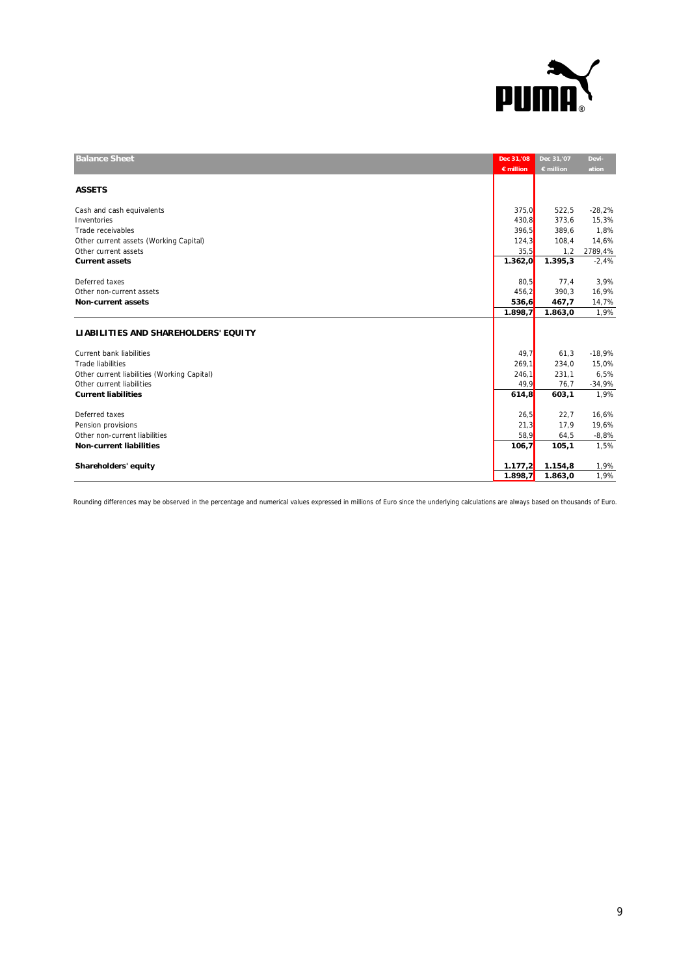

| <b>Balance Sheet</b>                        | Dec 31,'08<br>$\epsilon$ million | Dec 31,'07<br>$\epsilon$ million | Devi-<br>ation |
|---------------------------------------------|----------------------------------|----------------------------------|----------------|
| <b>ASSETS</b>                               |                                  |                                  |                |
| Cash and cash equivalents                   | 375,0                            | 522,5                            | $-28,2%$       |
| Inventories                                 | 430,8                            | 373,6                            | 15,3%          |
| Trade receivables                           | 396,5                            | 389,6                            | 1,8%           |
| Other current assets (Working Capital)      | 124,3                            | 108,4                            | 14,6%          |
| Other current assets                        | 35,5                             | 1,2                              | 2789,4%        |
| <b>Current assets</b>                       | 1.362,0                          | 1.395,3                          | $-2,4%$        |
|                                             |                                  |                                  |                |
| Deferred taxes                              | 80,5                             | 77,4                             | 3,9%           |
| Other non-current assets                    | 456,2                            | 390,3                            | 16,9%          |
| <b>Non-current assets</b>                   | 536,6                            | 467,7                            | 14,7%          |
|                                             | 1.898,7                          | 1.863,0                          | 1,9%           |
| LIABILITIES AND SHAREHOLDERS' EQUITY        |                                  |                                  |                |
| Current bank liabilities                    | 49,7                             | 61,3                             | $-18,9%$       |
| <b>Trade liabilities</b>                    | 269,1                            | 234,0                            | 15,0%          |
| Other current liabilities (Working Capital) | 246,1                            | 231,1                            | 6,5%           |
| Other current liabilities                   | 49,9                             | 76,7                             | $-34,9%$       |
| <b>Current liabilities</b>                  | 614,8                            | 603,1                            | 1,9%           |
|                                             |                                  |                                  |                |
| Deferred taxes                              | 26,5                             | 22,7                             | 16,6%          |
| Pension provisions                          | 21,3                             | 17,9                             | 19,6%          |
| Other non-current liabilities               | 58,9                             | 64,5                             | $-8,8%$        |
| <b>Non-current liabilities</b>              | 106,7                            | 105,1                            | 1,5%           |
|                                             |                                  |                                  |                |
| Shareholders' equity                        | 1.177,2                          | 1.154,8                          | 1,9%           |
|                                             | 1.898,7                          | 1.863,0                          | 1,9%           |

Rounding differences may be observed in the percentage and numerical values expressed in millions of Euro since the underlying calculations are always based on thousands of Euro.